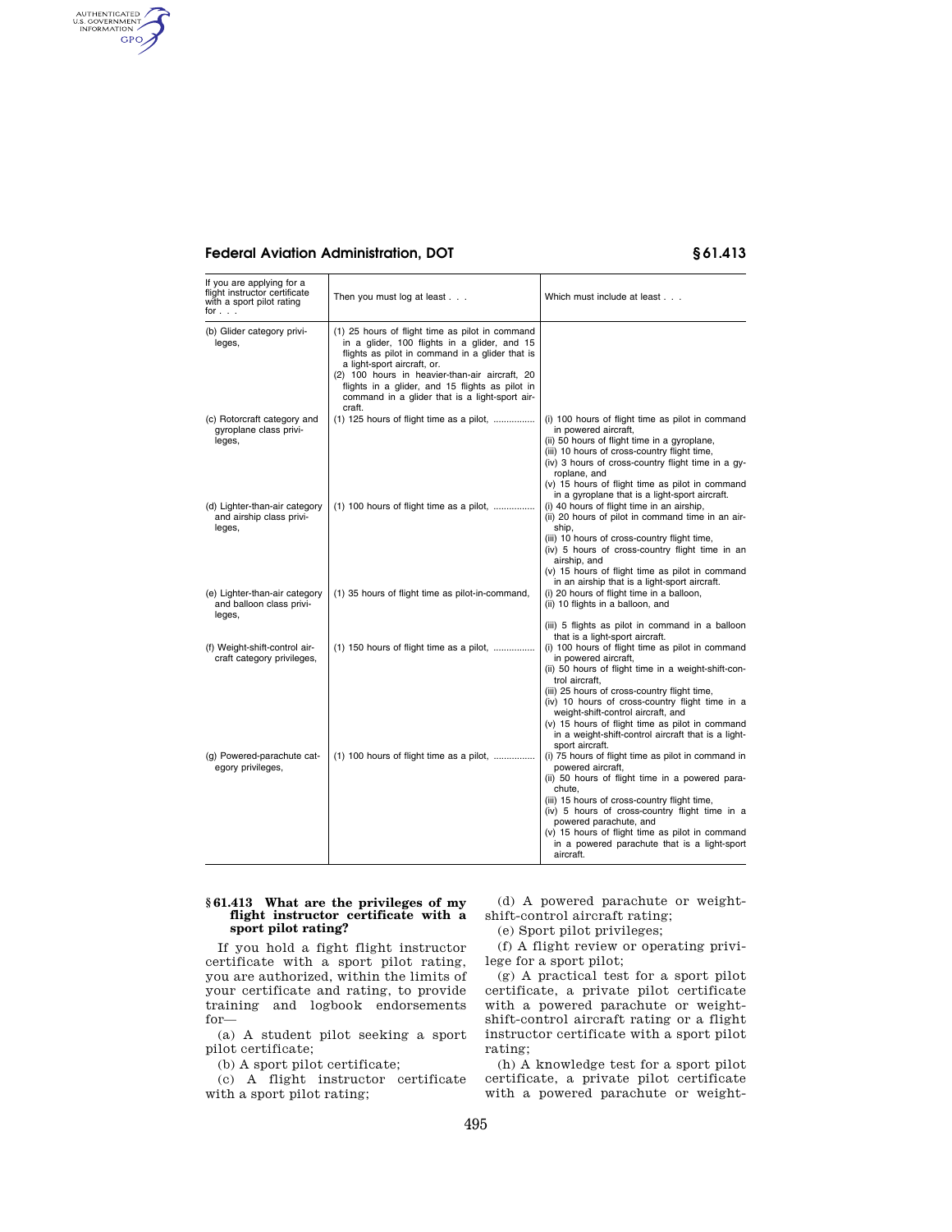# **Federal Aviation Administration, DOT § 61.413**

AUTHENTICATED<br>U.S. GOVERNMENT<br>INFORMATION GPO

| If you are applying for a<br>flight instructor certificate<br>with a sport pilot rating<br>for $\ldots$ | Then you must log at least $\ldots$                                                                                                                                                                                                                                                                                                                | Which must include at least                                                                                                                                                                                                                                                                                                                                                                                                                                |
|---------------------------------------------------------------------------------------------------------|----------------------------------------------------------------------------------------------------------------------------------------------------------------------------------------------------------------------------------------------------------------------------------------------------------------------------------------------------|------------------------------------------------------------------------------------------------------------------------------------------------------------------------------------------------------------------------------------------------------------------------------------------------------------------------------------------------------------------------------------------------------------------------------------------------------------|
| (b) Glider category privi-<br>leges,                                                                    | (1) 25 hours of flight time as pilot in command<br>in a glider, 100 flights in a glider, and 15<br>flights as pilot in command in a glider that is<br>a light-sport aircraft, or.<br>(2) 100 hours in heavier-than-air aircraft, 20<br>flights in a glider, and 15 flights as pilot in<br>command in a glider that is a light-sport air-<br>craft. |                                                                                                                                                                                                                                                                                                                                                                                                                                                            |
| (c) Rotorcraft category and<br>gyroplane class privi-<br>leges,                                         | (1) 125 hours of flight time as a pilot,                                                                                                                                                                                                                                                                                                           | (i) 100 hours of flight time as pilot in command<br>in powered aircraft,<br>(ii) 50 hours of flight time in a gyroplane,<br>(iii) 10 hours of cross-country flight time,<br>(iv) 3 hours of cross-country flight time in a gy-<br>roplane, and<br>(v) 15 hours of flight time as pilot in command<br>in a gyroplane that is a light-sport aircraft.                                                                                                        |
| (d) Lighter-than-air category<br>and airship class privi-<br>leges,                                     | (1) 100 hours of flight time as a pilot,                                                                                                                                                                                                                                                                                                           | (i) 40 hours of flight time in an airship,<br>(ii) 20 hours of pilot in command time in an air-<br>ship,<br>(iii) 10 hours of cross-country flight time,<br>(iv) 5 hours of cross-country flight time in an<br>airship, and<br>(v) 15 hours of flight time as pilot in command                                                                                                                                                                             |
| (e) Lighter-than-air category<br>and balloon class privi-<br>leges,                                     | (1) 35 hours of flight time as pilot-in-command,                                                                                                                                                                                                                                                                                                   | in an airship that is a light-sport aircraft.<br>(i) 20 hours of flight time in a balloon,<br>(ii) 10 flights in a balloon, and<br>(iii) 5 flights as pilot in command in a balloon                                                                                                                                                                                                                                                                        |
| (f) Weight-shift-control air-<br>craft category privileges,                                             | $(1)$ 150 hours of flight time as a pilot,                                                                                                                                                                                                                                                                                                         | that is a light-sport aircraft.<br>(i) 100 hours of flight time as pilot in command<br>in powered aircraft,<br>(ii) 50 hours of flight time in a weight-shift-con-<br>trol aircraft.<br>(iii) 25 hours of cross-country flight time,<br>(iv) 10 hours of cross-country flight time in a<br>weight-shift-control aircraft, and<br>(v) 15 hours of flight time as pilot in command<br>in a weight-shift-control aircraft that is a light-<br>sport aircraft. |
| (g) Powered-parachute cat-<br>egory privileges,                                                         | $(1)$ 100 hours of flight time as a pilot,                                                                                                                                                                                                                                                                                                         | (i) 75 hours of flight time as pilot in command in<br>powered aircraft,<br>(ii) 50 hours of flight time in a powered para-<br>chute,<br>(iii) 15 hours of cross-country flight time,<br>(iv) 5 hours of cross-country flight time in a<br>powered parachute, and<br>(v) 15 hours of flight time as pilot in command<br>in a powered parachute that is a light-sport<br>aircraft.                                                                           |

### **§ 61.413 What are the privileges of my flight instructor certificate with a sport pilot rating?**

If you hold a fight flight instructor certificate with a sport pilot rating, you are authorized, within the limits of your certificate and rating, to provide training and logbook endorsements for—

(a) A student pilot seeking a sport pilot certificate;

(b) A sport pilot certificate;

(c) A flight instructor certificate with a sport pilot rating;

(d) A powered parachute or weightshift-control aircraft rating;

(e) Sport pilot privileges;

(f) A flight review or operating privilege for a sport pilot;

(g) A practical test for a sport pilot certificate, a private pilot certificate with a powered parachute or weightshift-control aircraft rating or a flight instructor certificate with a sport pilot rating;

(h) A knowledge test for a sport pilot certificate, a private pilot certificate with a powered parachute or weight-